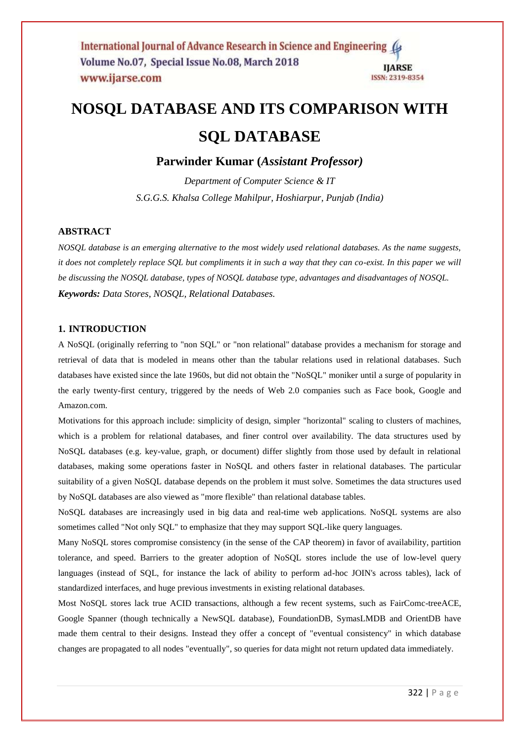# **NOSQL DATABASE AND ITS COMPARISON WITH SQL DATABASE**

**Parwinder Kumar (***Assistant Professor)*

*Department of Computer Science & IT S.G.G.S. Khalsa College Mahilpur, Hoshiarpur, Punjab (India)*

# **ABSTRACT**

*NOSQL database is an emerging alternative to the most widely used relational databases. As the name suggests, it does not completely replace SQL but compliments it in such a way that they can co-exist. In this paper we will be discussing the NOSQL database, types of NOSQL database type, advantages and disadvantages of NOSQL. Keywords: Data Stores, NOSQL, Relational Databases.*

# **1. INTRODUCTION**

A NoSQL (originally referring to "non SQL" or "non relational" database provides a mechanism for [storage](https://en.wikipedia.org/wiki/Computer_data_storage) and [retrieval](https://en.wikipedia.org/wiki/Data_retrieval) of data that is modeled in means other than the tabular relations used in [relational databases.](https://en.wikipedia.org/wiki/Relational_database) Such databases have existed since the late 1960s, but did not obtain the "NoSQL" moniker until a surge of popularity in the early twenty-first century, triggered by the needs of [Web 2.0](https://en.wikipedia.org/wiki/Web_2.0) companies such as [Face book,](https://en.wikipedia.org/wiki/Facebook) [Google](https://en.wikipedia.org/wiki/Google) and [Amazon.com.](https://en.wikipedia.org/wiki/Amazon.com)

Motivations for this approach include: simplicity of design, simpler ["horizontal" scaling](https://en.wikipedia.org/wiki/Horizontal_scaling#Horizontal_and_vertical_scaling) to [clusters](https://en.wikipedia.org/wiki/Cluster_computing) of machines, which is a problem for relational databases, and finer control over availability. The data structures used by NoSQL databases (e.g. key-value, graph, or document) differ slightly from those used by default in relational databases, making some operations faster in NoSQL and others faster in relational databases. The particular suitability of a given NoSQL database depends on the problem it must solve. Sometimes the data structures used by NoSQL databases are also viewed as "more flexible" than relational database tables.

NoSQL databases are increasingly used in [big data](https://en.wikipedia.org/wiki/Big_data) and [real-time web](https://en.wikipedia.org/wiki/Real-time_web) applications. NoSQL systems are also sometimes called "Not only SQL" to emphasize that they may support [SQL-](https://en.wikipedia.org/wiki/SQL)like query languages.

Many NoSQL stores compromise consistency (in the sense of the [CAP theorem\)](https://en.wikipedia.org/wiki/CAP_theorem) in favor of availability, partition tolerance, and speed. Barriers to the greater adoption of NoSQL stores include the use of low-level query languages (instead of SQL, for instance the lack of ability to perform ad-hoc JOIN's across tables), lack of standardized interfaces, and huge previous investments in existing relational databases.

Most NoSQL stores lack true [ACID](https://en.wikipedia.org/wiki/ACID) transactions, although a few recent systems, such as FairCo[mc-treeACE,](https://en.wikipedia.org/wiki/C-treeACE) Google [Spanner](https://en.wikipedia.org/wiki/Spanner_%28database%29) (though technically a [NewSQL](https://en.wikipedia.org/wiki/NewSQL) database), [FoundationDB,](https://en.wikipedia.org/wiki/FoundationDB) Syma[sLMDB](https://en.wikipedia.org/wiki/Lightning_Memory-Mapped_Database) and [OrientDB](https://en.wikipedia.org/wiki/OrientDB) have made them central to their designs. Instead they offer a concept of "eventual consistency" in which database changes are propagated to all nodes "eventually", so queries for data might not return updated data immediately.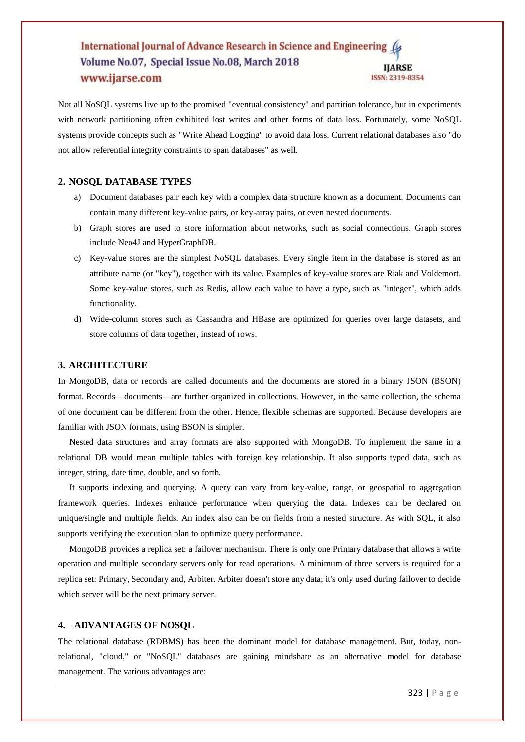Not all NoSQL systems live up to the promised "eventual consistency" and partition tolerance, but in experiments with network partitioning often exhibited lost writes and other forms of [data loss.](https://en.wikipedia.org/wiki/Data_loss) Fortunately, some NoSQL systems provide concepts such as "Write Ahead Logging" to avoid data loss. Current relational databases also "do not allow referential integrity constraints to span databases" as well.

# **2. NOSQL DATABASE TYPES**

- a) Document databases pair each key with a complex data structure known as a document. Documents can contain many different key-value pairs, or key-array pairs, or even nested documents.
- b) Graph stores are used to store information about networks, such as social connections. Graph stores include Neo4J and HyperGraphDB.
- c) Key-value stores are the simplest NoSQL databases. Every single item in the database is stored as an attribute name (or "key"), together with its value. Examples of key-value stores are Riak and Voldemort. Some key-value stores, such as Redis, allow each value to have a type, such as "integer", which adds functionality.
- d) Wide-column stores such as Cassandra and HBase are optimized for queries over large datasets, and store columns of data together, instead of rows.

#### **3. ARCHITECTURE**

In MongoDB, data or records are called documents and the documents are stored in a binary JSON (BSON) format. Records—documents—are further organized in collections. However, in the same collection, the schema of one document can be different from the other. Hence, flexible schemas are supported. Because developers are familiar with JSON formats, using BSON is simpler.

 Nested data structures and array formats are also supported with MongoDB. To implement the same in a relational DB would mean multiple tables with foreign key relationship. It also supports typed data, such as integer, string, date time, double, and so forth.

 It supports indexing and querying. A query can vary from key-value, range, or geospatial to aggregation framework queries. Indexes enhance performance when querying the data. Indexes can be declared on unique/single and multiple fields. An index also can be on fields from a nested structure. As with SQL, it also supports verifying the execution plan to optimize query performance.

 MongoDB provides a replica set: a failover mechanism. There is only one Primary database that allows a write operation and multiple secondary servers only for read operations. A minimum of three servers is required for a replica set: Primary, Secondary and, Arbiter. Arbiter doesn't store any data; it's only used during failover to decide which server will be the next primary server.

#### **4. ADVANTAGES OF NOSQL**

The relational database (RDBMS) has been the dominant model for database management. But, today, nonrelational, "cloud," or "NoSQL" databases are gaining mindshare as an alternative model for database management. The various advantages are: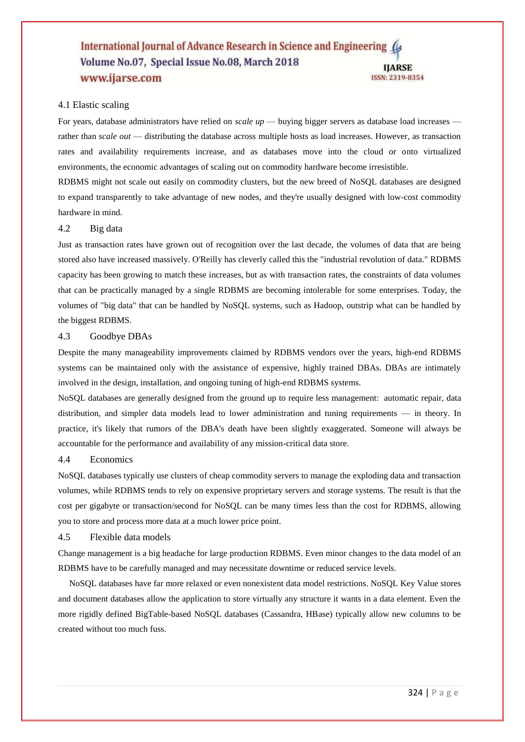## 4.1 Elastic scaling

For years, database administrators have relied on *scale up* — buying bigger servers as database load increases rather than *scale out* — distributing the database across multiple hosts as load increases. However, as transaction rates and availability requirements increase, and as databases move into the cloud or onto virtualized environments, the economic advantages of scaling out on commodity hardware become irresistible.

RDBMS might not scale out easily on commodity clusters, but the new breed of NoSQL databases are designed to expand transparently to take advantage of new nodes, and they're usually designed with low-cost commodity hardware in mind.

## 4.2 Big data

Just as transaction rates have grown out of recognition over the last decade, the volumes of data that are being stored also have increased massively. O'Reilly has cleverly called this the "industrial revolution of data." RDBMS capacity has been growing to match these increases, but as with transaction rates, the constraints of data volumes that can be practically managed by a single RDBMS are becoming intolerable for some enterprises. Today, the volumes of "big data" that can be handled by NoSQL systems, such as Hadoop, outstrip what can be handled by the biggest RDBMS.

#### 4.3 Goodbye DBAs

Despite the many manageability improvements claimed by RDBMS vendors over the years, high-end RDBMS systems can be maintained only with the assistance of expensive, highly trained DBAs. DBAs are intimately involved in the design, installation, and ongoing tuning of high-end RDBMS systems.

NoSQL databases are generally designed from the ground up to require less management: automatic repair, data distribution, and simpler data models lead to lower administration and tuning requirements — in theory. In practice, it's likely that rumors of the DBA's death have been slightly exaggerated. Someone will always be accountable for the performance and availability of any mission-critical data store.

#### 4.4 Economics

NoSQL databases typically use clusters of cheap commodity servers to manage the exploding data and transaction volumes, while RDBMS tends to rely on expensive proprietary servers and storage systems. The result is that the cost per gigabyte or transaction/second for NoSQL can be many times less than the cost for RDBMS, allowing you to store and process more data at a much lower price point.

## 4.5 Flexible data models

Change management is a big headache for large production RDBMS. Even minor changes to the data model of an RDBMS have to be carefully managed and may necessitate downtime or reduced service levels.

 NoSQL databases have far more relaxed or even nonexistent data model restrictions. NoSQL Key Value stores and document databases allow the application to store virtually any structure it wants in a data element. Even the more rigidly defined BigTable-based NoSQL databases (Cassandra, HBase) typically allow new columns to be created without too much fuss.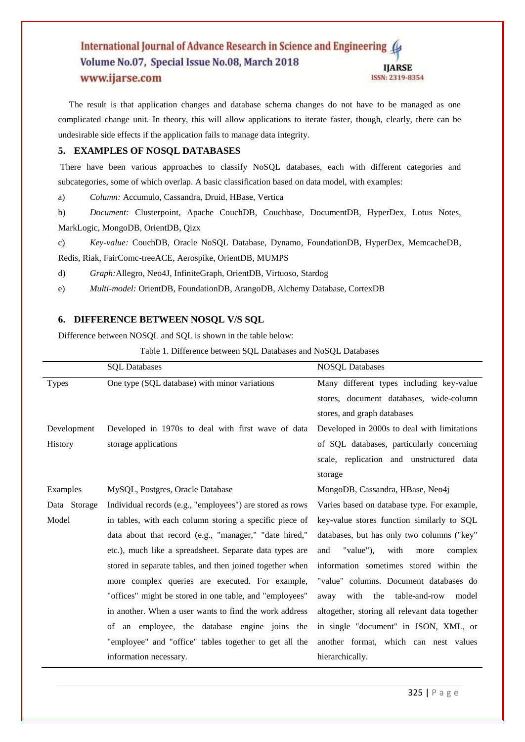The result is that application changes and database schema changes do not have to be managed as one complicated change unit. In theory, this will allow applications to iterate faster, though, clearly, there can be undesirable side effects if the application fails to manage data integrity.

## **5. EXAMPLES OF NOSQL DATABASES**

There have been various approaches to classify NoSQL databases, each with different categories and subcategories, some of which overlap. A basic classification based on data model, with examples:

a) *[Column:](https://en.wikipedia.org/wiki/Column_%28data_store%29)* Accumulo, Cassandra, [Druid,](https://en.wikipedia.org/wiki/Druid_%28open-source_data_store%29) [HBase,](https://en.wikipedia.org/wiki/HBase) [Vertica](https://en.wikipedia.org/wiki/Vertica)

b) *[Document:](https://en.wikipedia.org/wiki/Document-oriented_database)* [Clusterpoint,](https://en.wikipedia.org/wiki/Clusterpoint) [Apache CouchDB,](https://en.wikipedia.org/wiki/Apache_CouchDB) [Couchbase,](https://en.wikipedia.org/wiki/Couchbase) [DocumentDB,](https://en.wikipedia.org/wiki/DocumentDB) [HyperDex,](https://en.wikipedia.org/wiki/HyperDex) [Lotus Notes,](https://en.wikipedia.org/wiki/Lotus_Notes) [MarkLogic,](https://en.wikipedia.org/wiki/MarkLogic) [MongoDB,](https://en.wikipedia.org/wiki/MongoDB) [OrientDB,](https://en.wikipedia.org/wiki/OrientDB) [Qizx](https://en.wikipedia.org/wiki/Qizx)

c) *[Key-value:](https://en.wikipedia.org/wiki/Key-value_store)* CouchDB, [Oracle NoSQL Database,](https://en.wikipedia.org/wiki/Oracle_NoSQL_Database) [Dynamo,](https://en.wikipedia.org/wiki/Dynamo_%28storage_system%29) [FoundationDB,](https://en.wikipedia.org/wiki/FoundationDB) [HyperDex,](https://en.wikipedia.org/wiki/HyperDex) [MemcacheDB,](https://en.wikipedia.org/wiki/MemcacheDB) [Redis,](https://en.wikipedia.org/wiki/Redis) [Riak,](https://en.wikipedia.org/wiki/Riak) FairCo[mc-treeACE,](https://en.wikipedia.org/wiki/C-treeACE) [Aerospike,](https://en.wikipedia.org/wiki/Aerospike_database) [OrientDB,](https://en.wikipedia.org/wiki/OrientDB) [MUMPS](https://en.wikipedia.org/wiki/MUMPS)

d) *[Graph:](https://en.wikipedia.org/wiki/Graph_database)*[Allegro,](https://en.wikipedia.org/wiki/AllegroGraph) [Neo4J,](https://en.wikipedia.org/wiki/Neo4J) [InfiniteGraph,](https://en.wikipedia.org/wiki/InfiniteGraph) [OrientDB,](https://en.wikipedia.org/wiki/OrientDB) [Virtuoso,](https://en.wikipedia.org/wiki/Virtuoso_Universal_Server) [Stardog](https://en.wikipedia.org/wiki/Stardog)

e) *[Multi-model:](https://en.wikipedia.org/wiki/Multi-model_database)* [OrientDB,](https://en.wikipedia.org/wiki/OrientDB) [FoundationDB,](https://en.wikipedia.org/wiki/FoundationDB) [ArangoDB,](https://en.wikipedia.org/wiki/ArangoDB) Alchemy Database, CortexDB

## **6. DIFFERENCE BETWEEN NOSQL V/S SQL**

Difference between NOSQL and SQL is shown in the table below:

Table 1. Difference between SQL Databases and NoSQL Databases

|              | <b>SQL</b> Databases                                      | <b>NOSQL Databases</b>                         |
|--------------|-----------------------------------------------------------|------------------------------------------------|
| <b>Types</b> | One type (SQL database) with minor variations             | Many different types including key-value       |
|              |                                                           | stores, document databases, wide-column        |
|              |                                                           | stores, and graph databases                    |
| Development  | Developed in 1970s to deal with first wave of data        | Developed in 2000s to deal with limitations    |
| History      | storage applications                                      | of SQL databases, particularly concerning      |
|              |                                                           | scale, replication and unstructured data       |
|              |                                                           | storage                                        |
| Examples     | MySQL, Postgres, Oracle Database                          | MongoDB, Cassandra, HBase, Neo4j               |
| Data Storage | Individual records (e.g., "employees") are stored as rows | Varies based on database type. For example,    |
| Model        | in tables, with each column storing a specific piece of   | key-value stores function similarly to SQL     |
|              | data about that record (e.g., "manager," "date hired,"    | databases, but has only two columns ("key"     |
|              | etc.), much like a spreadsheet. Separate data types are   | "value"),<br>with<br>and<br>complex<br>more    |
|              | stored in separate tables, and then joined together when  | information sometimes stored within the        |
|              | more complex queries are executed. For example,           | "value" columns. Document databases do         |
|              | "offices" might be stored in one table, and "employees"   | with<br>table-and-row<br>the<br>model<br>away  |
|              | in another. When a user wants to find the work address    | altogether, storing all relevant data together |
|              | of an employee, the database engine joins the             | in single "document" in JSON, XML, or          |
|              | "employee" and "office" tables together to get all the    | another format, which can nest values          |
|              | information necessary.                                    | hierarchically.                                |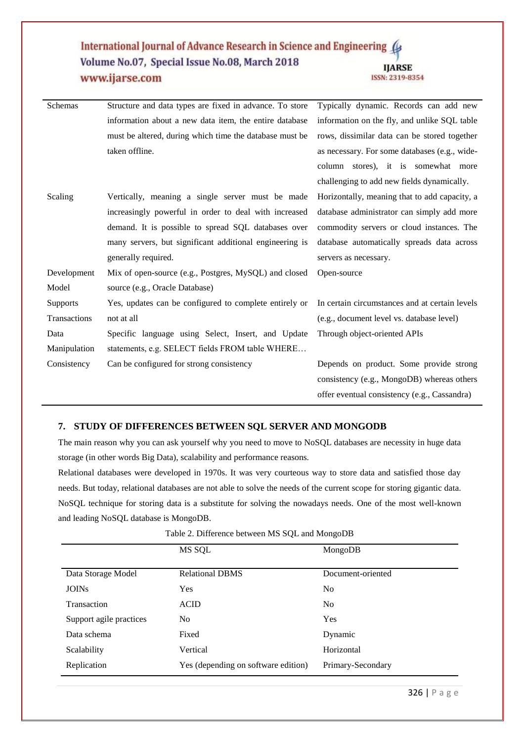| Schemas      | Structure and data types are fixed in advance. To store | Typically dynamic. Records can add new         |
|--------------|---------------------------------------------------------|------------------------------------------------|
|              | information about a new data item, the entire database  | information on the fly, and unlike SQL table   |
|              | must be altered, during which time the database must be | rows, dissimilar data can be stored together   |
|              | taken offline.                                          | as necessary. For some databases (e.g., wide-  |
|              |                                                         | column stores), it is somewhat more            |
|              |                                                         | challenging to add new fields dynamically.     |
| Scaling      | Vertically, meaning a single server must be made        | Horizontally, meaning that to add capacity, a  |
|              | increasingly powerful in order to deal with increased   | database administrator can simply add more     |
|              | demand. It is possible to spread SQL databases over     | commodity servers or cloud instances. The      |
|              | many servers, but significant additional engineering is | database automatically spreads data across     |
|              | generally required.                                     | servers as necessary.                          |
| Development  | Mix of open-source (e.g., Postgres, MySQL) and closed   | Open-source                                    |
| Model        | source (e.g., Oracle Database)                          |                                                |
| Supports     | Yes, updates can be configured to complete entirely or  | In certain circumstances and at certain levels |
| Transactions | not at all                                              | (e.g., document level vs. database level)      |
| Data         | Specific language using Select, Insert, and Update      | Through object-oriented APIs                   |
| Manipulation | statements, e.g. SELECT fields FROM table WHERE         |                                                |
| Consistency  | Can be configured for strong consistency                | Depends on product. Some provide strong        |
|              |                                                         | consistency (e.g., MongoDB) whereas others     |
|              |                                                         | offer eventual consistency (e.g., Cassandra)   |

# **7. STUDY OF DIFFERENCES BETWEEN SQL SERVER AND MONGODB**

The main reason why you can ask yourself why you need to move to NoSQL databases are necessity in huge data storage (in other words Big Data), scalability and performance reasons.

Relational databases were developed in 1970s. It was very courteous way to store data and satisfied those day needs. But today, relational databases are not able to solve the needs of the current scope for storing gigantic data. NoSQL technique for storing data is a substitute for solving the nowadays needs. One of the most well-known and leading NoSQL database is [MongoDB.](http://www.mongodb.org/)

|                         | MS SQL                              | MongoDB           |
|-------------------------|-------------------------------------|-------------------|
| Data Storage Model      | <b>Relational DBMS</b>              | Document-oriented |
| <b>JOINs</b>            | <b>Yes</b>                          | N <sub>0</sub>    |
| Transaction             | <b>ACID</b>                         | N <sub>0</sub>    |
| Support agile practices | No                                  | Yes               |
| Data schema             | Fixed                               | Dynamic           |
| Scalability             | Vertical                            | Horizontal        |
| Replication             | Yes (depending on software edition) | Primary-Secondary |

Table 2. Difference between MS SQL and MongoDB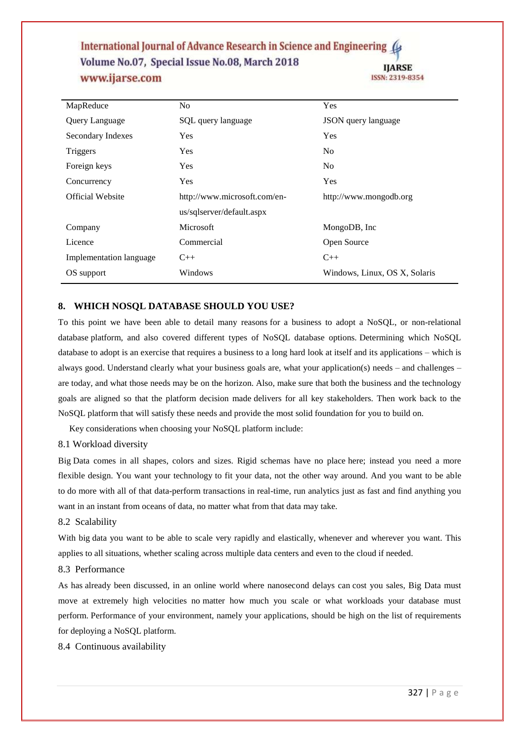| MapReduce               | No.                          | Yes                           |
|-------------------------|------------------------------|-------------------------------|
| Query Language          | SQL query language           | <b>JSON</b> query language    |
| Secondary Indexes       | <b>Yes</b>                   | <b>Yes</b>                    |
| Triggers                | <b>Yes</b>                   | N <sub>0</sub>                |
| Foreign keys            | <b>Yes</b>                   | N <sub>0</sub>                |
| Concurrency             | <b>Yes</b>                   | Yes                           |
| Official Website        | http://www.microsoft.com/en- | http://www.mongodb.org        |
|                         | us/sqlserver/default.aspx    |                               |
| Company                 | <b>Microsoft</b>             | MongoDB, Inc.                 |
| Licence                 | Commercial                   | Open Source                   |
| Implementation language | $C_{++}$                     | $C++$                         |
| OS support              | Windows                      | Windows, Linux, OS X, Solaris |

## **8. WHICH NOSQL DATABASE SHOULD YOU USE?**

To this point we have been able to detail many reasons [for a business to adopt a NoSQL,](http://www.youtube.com/watch?v=Je9BKVBM818&feature=youtu.be) or non-relational database platform, and also covered different types of NoSQL database options. Determining which NoSQL database to adopt is an exercise that requires a business to a long hard look at itself and its applications – which is always good. Understand clearly what your business goals are, what your application(s) needs – and challenges – are today, and what those needs may be on the horizon. Also, make sure that both the business and the technology goals are aligned so that the platform decision made delivers for all key stakeholders. Then work back to the NoSQL platform that will satisfy these needs and provide the most solid foundation for you to build on.

Key considerations when choosing your NoSQL platform include:

## 8.1 Workload diversity

Big Data comes in all shapes, colors and sizes. Rigid schemas have no place here; instead you need a more flexible design. You want your technology to fit your data, not the other way around. And you want to be able to do more with all of that data-perform transactions in real-time, run analytics just as fast and find anything you want in an instant from oceans of data, no matter what from that data may take.

## 8.2 Scalability

With big data you want to be able to scale very rapidly and elastically, whenever and wherever you want. This applies to all situations, whether scaling across multiple data centers and even to the cloud if needed.

#### 8.3 Performance

As has already been discussed, in an online world where nanosecond delays can cost you sales, Big Data must move at extremely high velocities no matter how much you scale or what workloads your database must perform. Performance of your environment, namely your applications, should be high on the list of requirements for deploying a NoSQL platform.

8.4 Continuous availability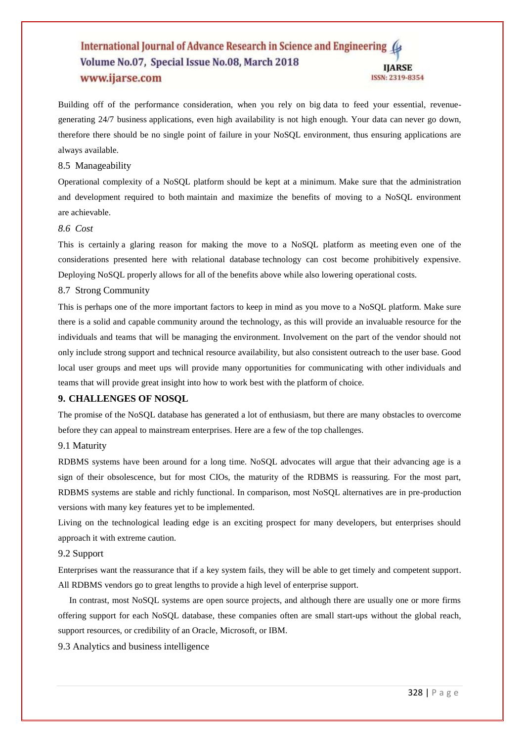Building off of the performance consideration, when you rely on big data to feed your essential, revenuegenerating 24/7 business applications, even high availability is not high enough. Your data can never go down, therefore there should be no single point of failure in your NoSQL environment, thus ensuring applications are always available.

#### 8.5 Manageability

Operational complexity of a NoSQL platform should be kept at a minimum. Make sure that the administration and development required to both maintain and maximize the benefits of moving to a NoSQL environment are achievable.

# *8.6 Cost*

This is certainly a glaring reason for making the move to a NoSQL platform as meeting even one of the considerations presented here with relational database technology can cost become prohibitively expensive. Deploying NoSQL properly allows for all of the benefits above while also lowering operational costs.

#### 8.7 Strong Community

This is perhaps one of the more important factors to keep in mind as you move to a NoSQL platform. Make sure there is a solid and capable community around the technology, as this will provide an invaluable resource for the individuals and teams that will be managing the environment. Involvement on the part of the vendor should not only include strong support and technical resource availability, but also consistent outreach to the user base. Good local user groups and meet ups will provide many opportunities for communicating with other individuals and teams that will provide great insight into how to work best with the platform of choice.

# **9. CHALLENGES OF NOSQL**

The promise of the NoSQL database has generated a lot of enthusiasm, but there are many obstacles to overcome before they can appeal to mainstream enterprises. Here are a few of the top challenges.

# 9.1 Maturity

RDBMS systems have been around for a long time. NoSQL advocates will argue that their advancing age is a sign of their obsolescence, but for most CIOs, the maturity of the RDBMS is reassuring. For the most part, RDBMS systems are stable and richly functional. In comparison, most NoSQL alternatives are in pre-production versions with many key features yet to be implemented.

Living on the technological leading edge is an exciting prospect for many developers, but enterprises should approach it with extreme caution.

## 9.2 Support

Enterprises want the reassurance that if a key system fails, they will be able to get timely and competent support. All RDBMS vendors go to great lengths to provide a high level of enterprise support.

 In contrast, most NoSQL systems are open source projects, and although there are usually one or more firms offering support for each NoSQL database, these companies often are small start-ups without the global reach, support resources, or credibility of an Oracle, Microsoft, or IBM.

9.3 Analytics and business intelligence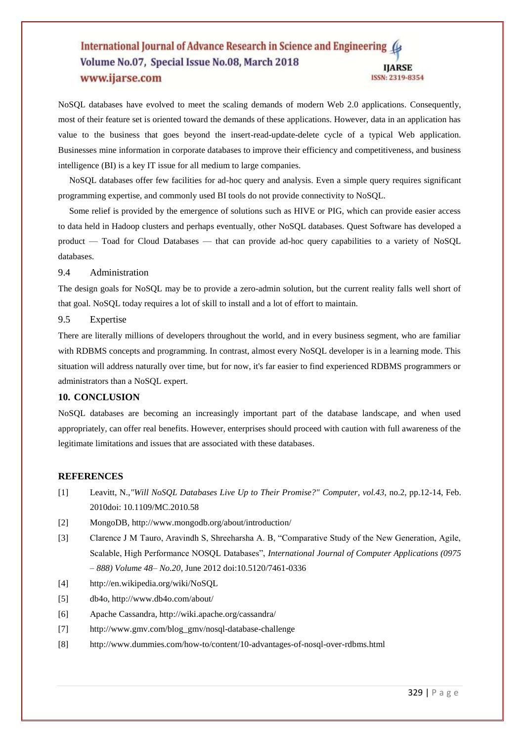NoSQL databases have evolved to meet the scaling demands of modern Web 2.0 applications. Consequently, most of their feature set is oriented toward the demands of these applications. However, data in an application has value to the business that goes beyond the insert-read-update-delete cycle of a typical Web application. Businesses mine information in corporate databases to improve their efficiency and competitiveness, and business intelligence (BI) is a key IT issue for all medium to large companies.

 NoSQL databases offer few facilities for ad-hoc query and analysis. Even a simple query requires significant programming expertise, and commonly used BI tools do not provide connectivity to NoSQL.

 Some relief is provided by the emergence of solutions such as HIVE or PIG, which can provide easier access to data held in Hadoop clusters and perhaps eventually, other NoSQL databases. Quest Software has developed a product — Toad for Cloud Databases — that can provide ad-hoc query capabilities to a variety of NoSQL databases.

#### 9.4 Administration

The design goals for NoSQL may be to provide a zero-admin solution, but the current reality falls well short of that goal. NoSQL today requires a lot of skill to install and a lot of effort to maintain.

9.5 Expertise

There are literally millions of developers throughout the world, and in every business segment, who are familiar with RDBMS concepts and programming. In contrast, almost every NoSQL developer is in a learning mode. This situation will address naturally over time, but for now, it's far easier to find experienced RDBMS programmers or administrators than a NoSQL expert.

# **10. CONCLUSION**

NoSQL databases are becoming an increasingly important part of the database landscape, and when used appropriately, can offer real benefits. However, enterprises should proceed with caution with full awareness of the legitimate limitations and issues that are associated with these databases.

#### **REFERENCES**

- [1] Leavitt, N.,*"Will NoSQL Databases Live Up to Their Promise?" Computer, vol.43*, no.2, pp.12-14, Feb. 2010doi: 10.1109/MC.2010.58
- [2] MongoDB, http://www.mongodb.org/about/introduction/
- [3] Clarence J M Tauro, Aravindh S, Shreeharsha A. B, "Comparative Study of the New Generation, Agile, Scalable, High Performance NOSQL Databases", *International Journal of Computer Applications (0975 – 888) Volume 48– No.20*, June 2012 doi:10.5120/7461-0336
- [4] http://en.wikipedia.org/wiki/NoSQL
- [5] db4o, http://www.db4o.com/about/
- [6] Apache Cassandra, http://wiki.apache.org/cassandra/
- [7] http://www.gmv.com/blog\_gmv/nosql-database-challenge
- [8] http://www.dummies.com/how-to/content/10-advantages-of-nosql-over-rdbms.html